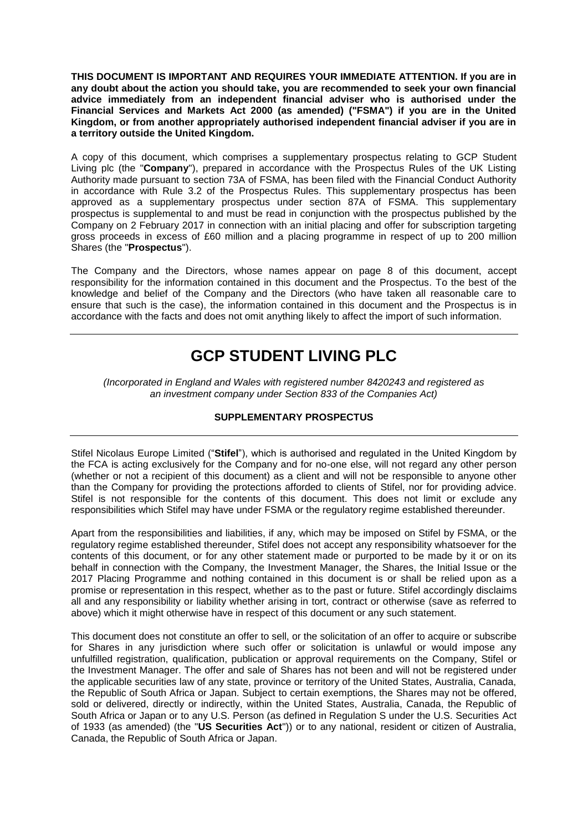**THIS DOCUMENT IS IMPORTANT AND REQUIRES YOUR IMMEDIATE ATTENTION. If you are in any doubt about the action you should take, you are recommended to seek your own financial advice immediately from an independent financial adviser who is authorised under the Financial Services and Markets Act 2000 (as amended) ("FSMA") if you are in the United Kingdom, or from another appropriately authorised independent financial adviser if you are in a territory outside the United Kingdom.**

A copy of this document, which comprises a supplementary prospectus relating to GCP Student Living plc (the "**Company**"), prepared in accordance with the Prospectus Rules of the UK Listing Authority made pursuant to section 73A of FSMA, has been filed with the Financial Conduct Authority in accordance with Rule 3.2 of the Prospectus Rules. This supplementary prospectus has been approved as a supplementary prospectus under section 87A of FSMA. This supplementary prospectus is supplemental to and must be read in conjunction with the prospectus published by the Company on 2 February 2017 in connection with an initial placing and offer for subscription targeting gross proceeds in excess of £60 million and a placing programme in respect of up to 200 million Shares (the "**Prospectus**").

The Company and the Directors, whose names appear on page 8 of this document, accept responsibility for the information contained in this document and the Prospectus. To the best of the knowledge and belief of the Company and the Directors (who have taken all reasonable care to ensure that such is the case), the information contained in this document and the Prospectus is in accordance with the facts and does not omit anything likely to affect the import of such information.

# **GCP STUDENT LIVING PLC**

*(Incorporated in England and Wales with registered number 8420243 and registered as an investment company under Section 833 of the Companies Act)*

# **SUPPLEMENTARY PROSPECTUS**

Stifel Nicolaus Europe Limited ("**Stifel**"), which is authorised and regulated in the United Kingdom by the FCA is acting exclusively for the Company and for no-one else, will not regard any other person (whether or not a recipient of this document) as a client and will not be responsible to anyone other than the Company for providing the protections afforded to clients of Stifel, nor for providing advice. Stifel is not responsible for the contents of this document. This does not limit or exclude any responsibilities which Stifel may have under FSMA or the regulatory regime established thereunder.

Apart from the responsibilities and liabilities, if any, which may be imposed on Stifel by FSMA, or the regulatory regime established thereunder, Stifel does not accept any responsibility whatsoever for the contents of this document, or for any other statement made or purported to be made by it or on its behalf in connection with the Company, the Investment Manager, the Shares, the Initial Issue or the 2017 Placing Programme and nothing contained in this document is or shall be relied upon as a promise or representation in this respect, whether as to the past or future. Stifel accordingly disclaims all and any responsibility or liability whether arising in tort, contract or otherwise (save as referred to above) which it might otherwise have in respect of this document or any such statement.

This document does not constitute an offer to sell, or the solicitation of an offer to acquire or subscribe for Shares in any jurisdiction where such offer or solicitation is unlawful or would impose any unfulfilled registration, qualification, publication or approval requirements on the Company, Stifel or the Investment Manager. The offer and sale of Shares has not been and will not be registered under the applicable securities law of any state, province or territory of the United States, Australia, Canada, the Republic of South Africa or Japan. Subject to certain exemptions, the Shares may not be offered, sold or delivered, directly or indirectly, within the United States, Australia, Canada, the Republic of South Africa or Japan or to any U.S. Person (as defined in Regulation S under the U.S. Securities Act of 1933 (as amended) (the "**US Securities Act**")) or to any national, resident or citizen of Australia, Canada, the Republic of South Africa or Japan.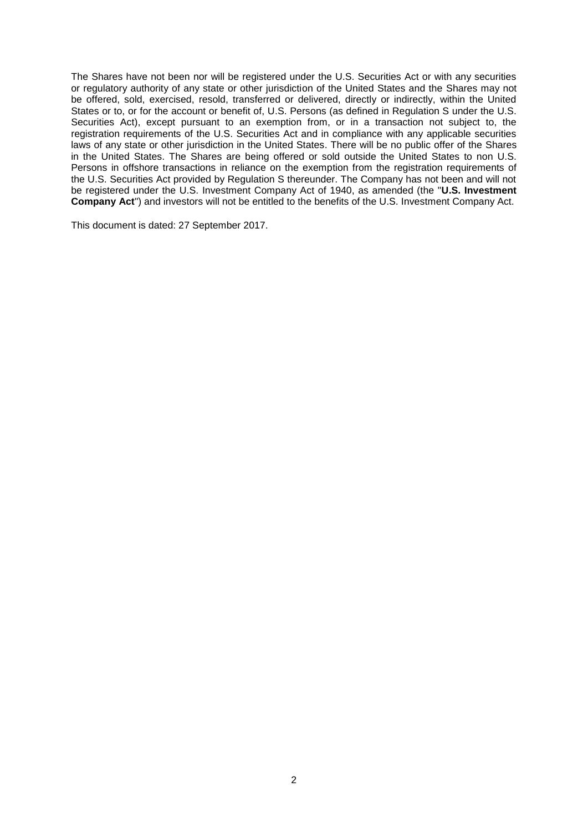The Shares have not been nor will be registered under the U.S. Securities Act or with any securities or regulatory authority of any state or other jurisdiction of the United States and the Shares may not be offered, sold, exercised, resold, transferred or delivered, directly or indirectly, within the United States or to, or for the account or benefit of, U.S. Persons (as defined in Regulation S under the U.S. Securities Act), except pursuant to an exemption from, or in a transaction not subject to, the registration requirements of the U.S. Securities Act and in compliance with any applicable securities laws of any state or other jurisdiction in the United States. There will be no public offer of the Shares in the United States. The Shares are being offered or sold outside the United States to non U.S. Persons in offshore transactions in reliance on the exemption from the registration requirements of the U.S. Securities Act provided by Regulation S thereunder. The Company has not been and will not be registered under the U.S. Investment Company Act of 1940, as amended (the "**U.S. Investment Company Act**") and investors will not be entitled to the benefits of the U.S. Investment Company Act.

This document is dated: 27 September 2017.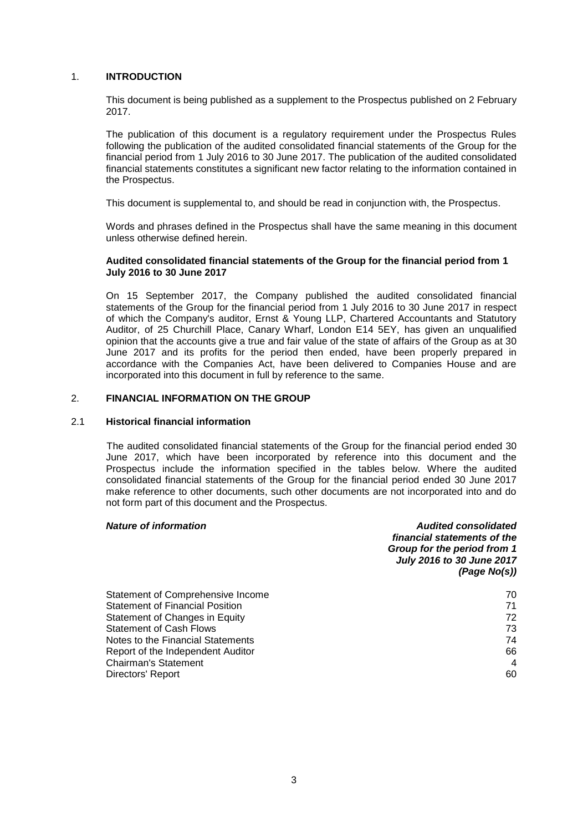## 1. **INTRODUCTION**

This document is being published as a supplement to the Prospectus published on 2 February 2017.

The publication of this document is a regulatory requirement under the Prospectus Rules following the publication of the audited consolidated financial statements of the Group for the financial period from 1 July 2016 to 30 June 2017. The publication of the audited consolidated financial statements constitutes a significant new factor relating to the information contained in the Prospectus.

This document is supplemental to, and should be read in conjunction with, the Prospectus.

Words and phrases defined in the Prospectus shall have the same meaning in this document unless otherwise defined herein.

#### **Audited consolidated financial statements of the Group for the financial period from 1 July 2016 to 30 June 2017**

On 15 September 2017, the Company published the audited consolidated financial statements of the Group for the financial period from 1 July 2016 to 30 June 2017 in respect of which the Company's auditor, Ernst & Young LLP, Chartered Accountants and Statutory Auditor, of 25 Churchill Place, Canary Wharf, London E14 5EY, has given an unqualified opinion that the accounts give a true and fair value of the state of affairs of the Group as at 30 June 2017 and its profits for the period then ended, have been properly prepared in accordance with the Companies Act, have been delivered to Companies House and are incorporated into this document in full by reference to the same.

#### 2. **FINANCIAL INFORMATION ON THE GROUP**

## 2.1 **Historical financial information**

The audited consolidated financial statements of the Group for the financial period ended 30 June 2017, which have been incorporated by reference into this document and the Prospectus include the information specified in the tables below. Where the audited consolidated financial statements of the Group for the financial period ended 30 June 2017 make reference to other documents, such other documents are not incorporated into and do not form part of this document and the Prospectus.

#### *Nature of information Audited consolidated*

|                                        | financial statements of the<br>Group for the period from 1<br>July 2016 to 30 June 2017<br>(Page No(s)) |
|----------------------------------------|---------------------------------------------------------------------------------------------------------|
| Statement of Comprehensive Income      | 70                                                                                                      |
| <b>Statement of Financial Position</b> | 71                                                                                                      |
| Statement of Changes in Equity         | 72                                                                                                      |
| <b>Statement of Cash Flows</b>         | 73                                                                                                      |
| Notes to the Financial Statements      | 74                                                                                                      |
| Report of the Independent Auditor      | 66                                                                                                      |
| <b>Chairman's Statement</b>            | 4                                                                                                       |
| Directors' Report                      | 60                                                                                                      |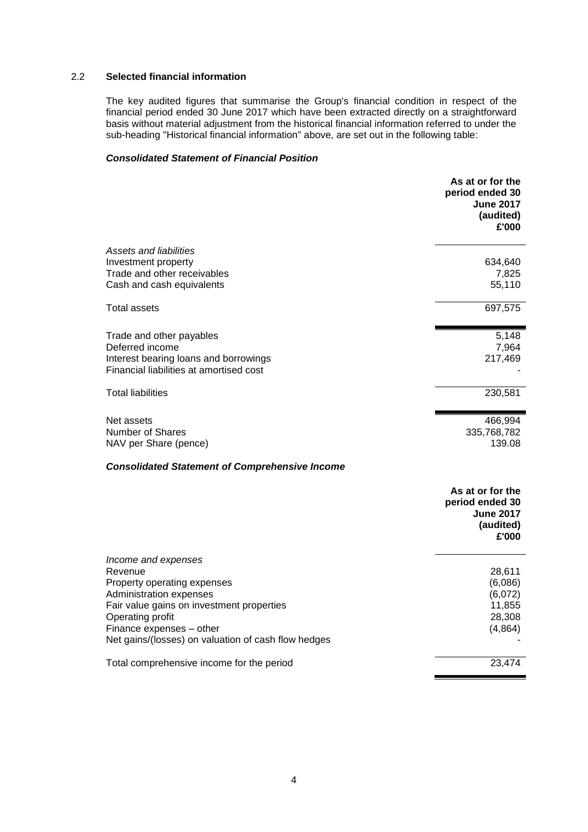## 2.2 **Selected financial information**

The key audited figures that summarise the Group's financial condition in respect of the financial period ended 30 June 2017 which have been extracted directly on a straightforward basis without material adjustment from the historical financial information referred to under the sub-heading "Historical financial information" above, are set out in the following table:

## *Consolidated Statement of Financial Position*

|                                                                                  | period ended 30<br><b>June 2017</b><br>(audited)<br>£'000                     |
|----------------------------------------------------------------------------------|-------------------------------------------------------------------------------|
| Assets and liabilities                                                           |                                                                               |
| Investment property                                                              | 634,640                                                                       |
| Trade and other receivables<br>Cash and cash equivalents                         | 7,825<br>55,110                                                               |
| Total assets                                                                     | 697,575                                                                       |
| Trade and other payables                                                         | 5,148                                                                         |
| Deferred income                                                                  | 7,964                                                                         |
| Interest bearing loans and borrowings<br>Financial liabilities at amortised cost | 217,469                                                                       |
| <b>Total liabilities</b>                                                         | 230,581                                                                       |
| Net assets                                                                       | 466,994                                                                       |
| Number of Shares<br>NAV per Share (pence)                                        | 335,768,782<br>139.08                                                         |
| <b>Consolidated Statement of Comprehensive Income</b>                            |                                                                               |
|                                                                                  | As at or for the<br>period ended 30<br><b>June 2017</b><br>(audited)<br>£'000 |
| Income and expenses                                                              |                                                                               |
| Revenue                                                                          | 28,611                                                                        |
| Property operating expenses<br>Administration expenses                           | (6,086)<br>(6,072)                                                            |
| Fair value gains on investment properties                                        | 11,855                                                                        |
| Operating profit                                                                 | 28,308                                                                        |
| Finance expenses - other<br>Net gains/(losses) on valuation of cash flow hedges  | (4,864)                                                                       |
| Total comprehensive income for the period                                        | 23,474                                                                        |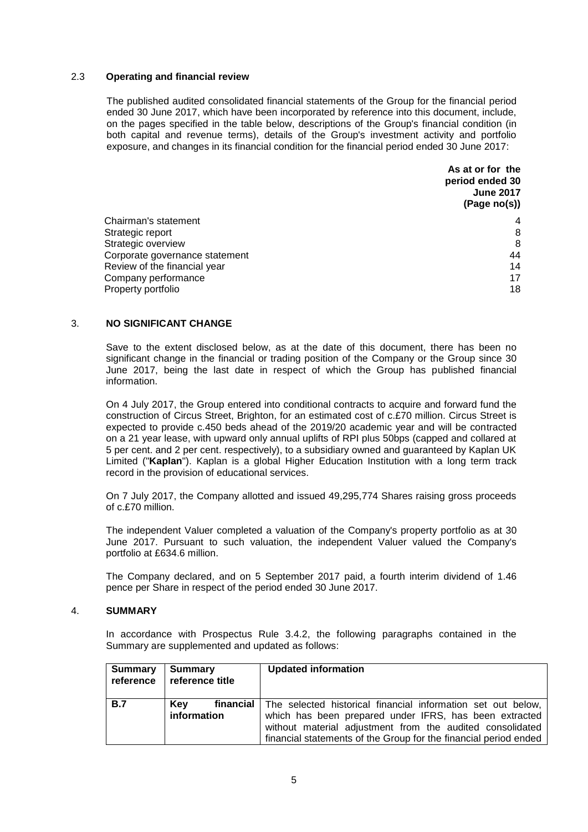## 2.3 **Operating and financial review**

The published audited consolidated financial statements of the Group for the financial period ended 30 June 2017, which have been incorporated by reference into this document, include, on the pages specified in the table below, descriptions of the Group's financial condition (in both capital and revenue terms), details of the Group's investment activity and portfolio exposure, and changes in its financial condition for the financial period ended 30 June 2017:

|                                | As at or for the<br>period ended 30<br><b>June 2017</b><br>(Page no(s)) |
|--------------------------------|-------------------------------------------------------------------------|
| Chairman's statement           | 4                                                                       |
| Strategic report               | 8                                                                       |
| Strategic overview             | 8                                                                       |
| Corporate governance statement | 44                                                                      |
| Review of the financial year   | 14                                                                      |
| Company performance            | 17                                                                      |
| Property portfolio             | 18                                                                      |

## 3. **NO SIGNIFICANT CHANGE**

Save to the extent disclosed below, as at the date of this document, there has been no significant change in the financial or trading position of the Company or the Group since 30 June 2017, being the last date in respect of which the Group has published financial information.

On 4 July 2017, the Group entered into conditional contracts to acquire and forward fund the construction of Circus Street, Brighton, for an estimated cost of c.£70 million. Circus Street is expected to provide c.450 beds ahead of the 2019/20 academic year and will be contracted on a 21 year lease, with upward only annual uplifts of RPI plus 50bps (capped and collared at 5 per cent. and 2 per cent. respectively), to a subsidiary owned and guaranteed by Kaplan UK Limited ("**Kaplan**"). Kaplan is a global Higher Education Institution with a long term track record in the provision of educational services.

On 7 July 2017, the Company allotted and issued 49,295,774 Shares raising gross proceeds of c.£70 million.

The independent Valuer completed a valuation of the Company's property portfolio as at 30 June 2017. Pursuant to such valuation, the independent Valuer valued the Company's portfolio at £634.6 million.

The Company declared, and on 5 September 2017 paid, a fourth interim dividend of 1.46 pence per Share in respect of the period ended 30 June 2017.

## 4. **SUMMARY**

In accordance with Prospectus Rule 3.4.2, the following paragraphs contained in the Summary are supplemented and updated as follows:

| Summary<br>reference | Summary<br>reference title | <b>Updated information</b>                                                                                                                                                                                                                                          |
|----------------------|----------------------------|---------------------------------------------------------------------------------------------------------------------------------------------------------------------------------------------------------------------------------------------------------------------|
| B.7                  | <b>Kev</b><br>information  | financial   The selected historical financial information set out below,<br>which has been prepared under IFRS, has been extracted<br>without material adjustment from the audited consolidated<br>financial statements of the Group for the financial period ended |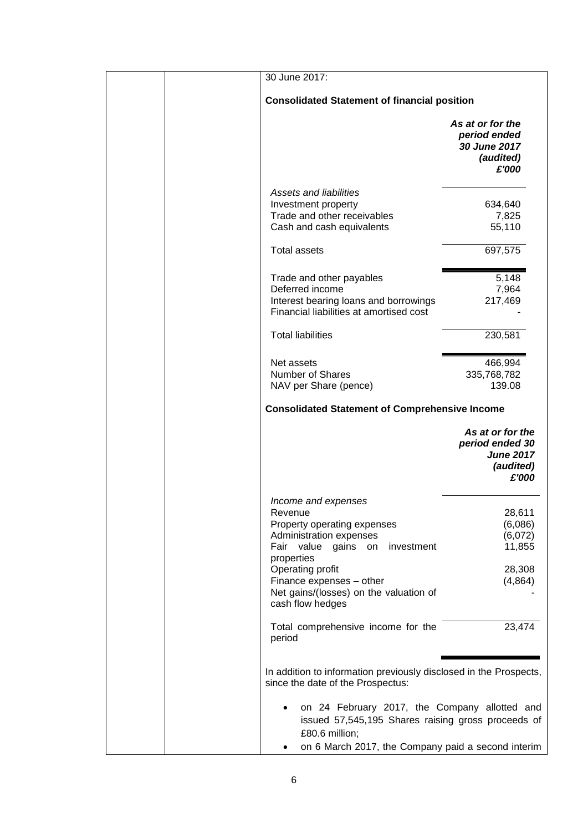| 30 June 2017:                                                                                                                                                                                                                                             |                                                                               |
|-----------------------------------------------------------------------------------------------------------------------------------------------------------------------------------------------------------------------------------------------------------|-------------------------------------------------------------------------------|
| <b>Consolidated Statement of financial position</b>                                                                                                                                                                                                       |                                                                               |
|                                                                                                                                                                                                                                                           | As at or for the<br>period ended<br>30 June 2017<br>(audited)<br>£'000        |
| <b>Assets and liabilities</b><br>Investment property<br>Trade and other receivables<br>Cash and cash equivalents<br><b>Total assets</b>                                                                                                                   | 634,640<br>7,825<br>55,110<br>697,575                                         |
| Trade and other payables<br>Deferred income<br>Interest bearing loans and borrowings<br>Financial liabilities at amortised cost<br><b>Total liabilities</b>                                                                                               | 5,148<br>7,964<br>217,469<br>230,581                                          |
| Net assets<br><b>Number of Shares</b><br>NAV per Share (pence)<br><b>Consolidated Statement of Comprehensive Income</b>                                                                                                                                   | 466,994<br>335,768,782<br>139.08                                              |
|                                                                                                                                                                                                                                                           | As at or for the<br>period ended 30<br><b>June 2017</b><br>(audited)<br>£'000 |
| Income and expenses<br>Revenue<br>Property operating expenses<br>Administration expenses<br>Fair value gains on<br>investment<br>properties<br>Operating profit<br>Finance expenses - other<br>Net gains/(losses) on the valuation of<br>cash flow hedges | 28,611<br>(6,086)<br>(6,072)<br>11,855<br>28,308<br>(4,864)                   |
| Total comprehensive income for the<br>period                                                                                                                                                                                                              | 23,474                                                                        |
| In addition to information previously disclosed in the Prospects,<br>since the date of the Prospectus:                                                                                                                                                    |                                                                               |
| on 24 February 2017, the Company allotted and<br>issued 57,545,195 Shares raising gross proceeds of<br>£80.6 million;<br>on 6 March 2017, the Company paid a second interim<br>٠                                                                          |                                                                               |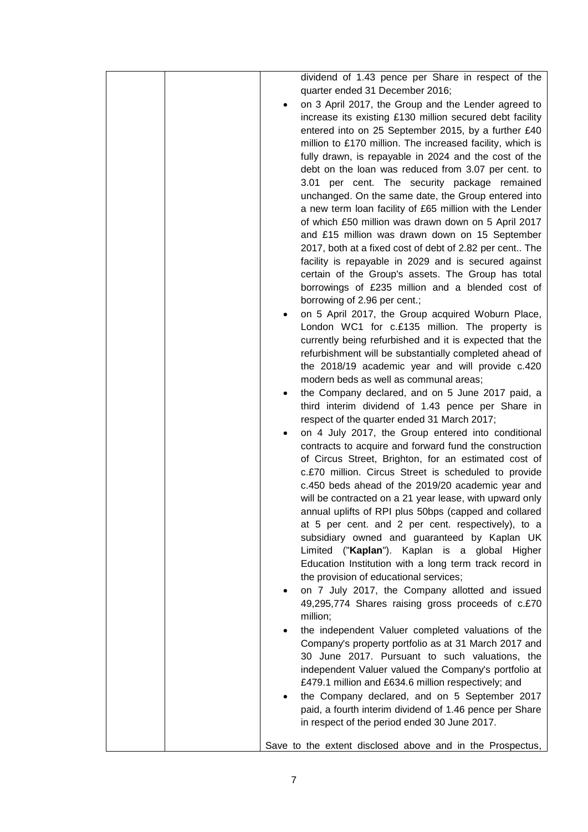| dividend of 1.43 pence per Share in respect of the                                                        |
|-----------------------------------------------------------------------------------------------------------|
| quarter ended 31 December 2016;                                                                           |
| on 3 April 2017, the Group and the Lender agreed to                                                       |
| increase its existing £130 million secured debt facility                                                  |
| entered into on 25 September 2015, by a further £40                                                       |
| million to £170 million. The increased facility, which is                                                 |
| fully drawn, is repayable in 2024 and the cost of the                                                     |
| debt on the loan was reduced from 3.07 per cent. to                                                       |
| 3.01 per cent. The security package remained                                                              |
| unchanged. On the same date, the Group entered into                                                       |
| a new term loan facility of £65 million with the Lender                                                   |
| of which £50 million was drawn down on 5 April 2017                                                       |
| and £15 million was drawn down on 15 September                                                            |
| 2017, both at a fixed cost of debt of 2.82 per cent The                                                   |
| facility is repayable in 2029 and is secured against                                                      |
| certain of the Group's assets. The Group has total                                                        |
| borrowings of £235 million and a blended cost of<br>borrowing of 2.96 per cent.;                          |
| on 5 April 2017, the Group acquired Woburn Place,                                                         |
| London WC1 for c.£135 million. The property is                                                            |
| currently being refurbished and it is expected that the                                                   |
| refurbishment will be substantially completed ahead of                                                    |
| the 2018/19 academic year and will provide c.420                                                          |
| modern beds as well as communal areas;                                                                    |
| the Company declared, and on 5 June 2017 paid, a                                                          |
| third interim dividend of 1.43 pence per Share in                                                         |
| respect of the quarter ended 31 March 2017;                                                               |
| on 4 July 2017, the Group entered into conditional                                                        |
| contracts to acquire and forward fund the construction                                                    |
| of Circus Street, Brighton, for an estimated cost of                                                      |
| c.£70 million. Circus Street is scheduled to provide<br>c.450 beds ahead of the 2019/20 academic year and |
| will be contracted on a 21 year lease, with upward only                                                   |
| annual uplifts of RPI plus 50bps (capped and collared                                                     |
| at 5 per cent. and 2 per cent. respectively), to a                                                        |
| subsidiary owned and guaranteed by Kaplan UK                                                              |
| Limited ("Kaplan"). Kaplan is a global Higher                                                             |
| Education Institution with a long term track record in                                                    |
| the provision of educational services;                                                                    |
| on 7 July 2017, the Company allotted and issued                                                           |
| 49,295,774 Shares raising gross proceeds of c.£70                                                         |
| million;                                                                                                  |
| the independent Valuer completed valuations of the                                                        |
| Company's property portfolio as at 31 March 2017 and                                                      |
| 30 June 2017. Pursuant to such valuations, the                                                            |
| independent Valuer valued the Company's portfolio at                                                      |
| £479.1 million and £634.6 million respectively; and                                                       |
| the Company declared, and on 5 September 2017<br>٠                                                        |
| paid, a fourth interim dividend of 1.46 pence per Share                                                   |
| in respect of the period ended 30 June 2017.                                                              |
| Save to the extent disclosed above and in the Prospectus,                                                 |